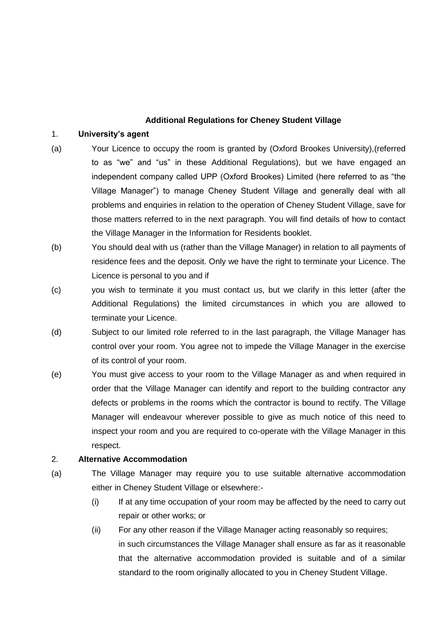# **Additional Regulations for Cheney Student Village**

# 1. **University's agent**

- (a) Your Licence to occupy the room is granted by (Oxford Brookes University),(referred to as "we" and "us" in these Additional Regulations), but we have engaged an independent company called UPP (Oxford Brookes) Limited (here referred to as "the Village Manager") to manage Cheney Student Village and generally deal with all problems and enquiries in relation to the operation of Cheney Student Village, save for those matters referred to in the next paragraph. You will find details of how to contact the Village Manager in the Information for Residents booklet.
- (b) You should deal with us (rather than the Village Manager) in relation to all payments of residence fees and the deposit. Only we have the right to terminate your Licence. The Licence is personal to you and if
- (c) you wish to terminate it you must contact us, but we clarify in this letter (after the Additional Regulations) the limited circumstances in which you are allowed to terminate your Licence.
- (d) Subject to our limited role referred to in the last paragraph, the Village Manager has control over your room. You agree not to impede the Village Manager in the exercise of its control of your room.
- (e) You must give access to your room to the Village Manager as and when required in order that the Village Manager can identify and report to the building contractor any defects or problems in the rooms which the contractor is bound to rectify. The Village Manager will endeavour wherever possible to give as much notice of this need to inspect your room and you are required to co-operate with the Village Manager in this respect.

# 2. **Alternative Accommodation**

- (a) The Village Manager may require you to use suitable alternative accommodation either in Cheney Student Village or elsewhere:-
	- (i) If at any time occupation of your room may be affected by the need to carry out repair or other works; or
	- (ii) For any other reason if the Village Manager acting reasonably so requires; in such circumstances the Village Manager shall ensure as far as it reasonable that the alternative accommodation provided is suitable and of a similar standard to the room originally allocated to you in Cheney Student Village.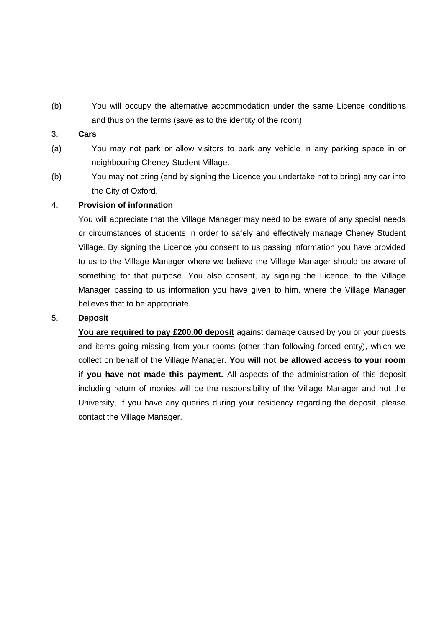(b) You will occupy the alternative accommodation under the same Licence conditions and thus on the terms (save as to the identity of the room).

#### 3. **Cars**

- (a) You may not park or allow visitors to park any vehicle in any parking space in or neighbouring Cheney Student Village.
- (b) You may not bring (and by signing the Licence you undertake not to bring) any car into the City of Oxford.

## 4. **Provision of information**

You will appreciate that the Village Manager may need to be aware of any special needs or circumstances of students in order to safely and effectively manage Cheney Student Village. By signing the Licence you consent to us passing information you have provided to us to the Village Manager where we believe the Village Manager should be aware of something for that purpose. You also consent, by signing the Licence, to the Village Manager passing to us information you have given to him, where the Village Manager believes that to be appropriate.

## 5. **Deposit**

**You are required to pay £200.00 deposit** against damage caused by you or your guests and items going missing from your rooms (other than following forced entry), which we collect on behalf of the Village Manager. **You will not be allowed access to your room if you have not made this payment.** All aspects of the administration of this deposit including return of monies will be the responsibility of the Village Manager and not the University, If you have any queries during your residency regarding the deposit, please contact the Village Manager.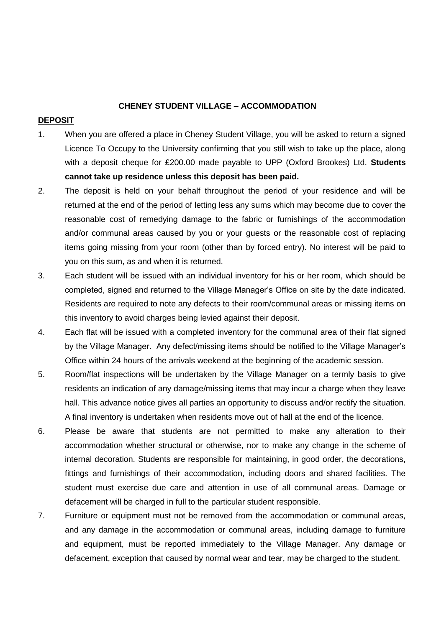#### **CHENEY STUDENT VILLAGE – ACCOMMODATION**

#### **DEPOSIT**

- 1. When you are offered a place in Cheney Student Village, you will be asked to return a signed Licence To Occupy to the University confirming that you still wish to take up the place, along with a deposit cheque for £200.00 made payable to UPP (Oxford Brookes) Ltd. **Students cannot take up residence unless this deposit has been paid.**
- 2. The deposit is held on your behalf throughout the period of your residence and will be returned at the end of the period of letting less any sums which may become due to cover the reasonable cost of remedying damage to the fabric or furnishings of the accommodation and/or communal areas caused by you or your guests or the reasonable cost of replacing items going missing from your room (other than by forced entry). No interest will be paid to you on this sum, as and when it is returned.
- 3. Each student will be issued with an individual inventory for his or her room, which should be completed, signed and returned to the Village Manager's Office on site by the date indicated. Residents are required to note any defects to their room/communal areas or missing items on this inventory to avoid charges being levied against their deposit.
- 4. Each flat will be issued with a completed inventory for the communal area of their flat signed by the Village Manager. Any defect/missing items should be notified to the Village Manager's Office within 24 hours of the arrivals weekend at the beginning of the academic session.
- 5. Room/flat inspections will be undertaken by the Village Manager on a termly basis to give residents an indication of any damage/missing items that may incur a charge when they leave hall. This advance notice gives all parties an opportunity to discuss and/or rectify the situation. A final inventory is undertaken when residents move out of hall at the end of the licence.
- 6. Please be aware that students are not permitted to make any alteration to their accommodation whether structural or otherwise, nor to make any change in the scheme of internal decoration. Students are responsible for maintaining, in good order, the decorations, fittings and furnishings of their accommodation, including doors and shared facilities. The student must exercise due care and attention in use of all communal areas. Damage or defacement will be charged in full to the particular student responsible.
- 7. Furniture or equipment must not be removed from the accommodation or communal areas, and any damage in the accommodation or communal areas, including damage to furniture and equipment, must be reported immediately to the Village Manager. Any damage or defacement, exception that caused by normal wear and tear, may be charged to the student.